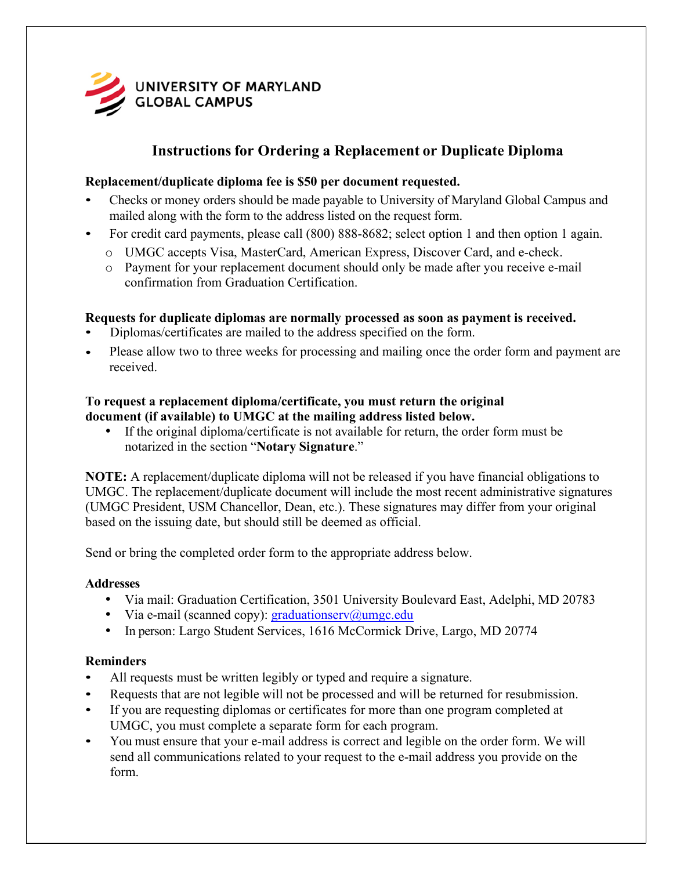

# **Instructions for Ordering a Replacement or Duplicate Diploma**

#### **Replacement/duplicate diploma fee is \$50 per document requested.**

- Checks or money orders should be made payable to University of Maryland Global Campus and mailed along with the form to the address listed on the request form.
- For credit card payments, please call (800) 888-8682; select option 1 and then option 1 again.
	- o UMGC accepts Visa, MasterCard, American Express, Discover Card, and e-check.
	- o Payment for your replacement document should only be made after you receive e-mail confirmation from Graduation Certification.

### **Requests for duplicate diplomas are normally processed as soon as payment is received.**

- Diplomas/certificates are mailed to the address specified on the form.
- Please allow two to three weeks for processing and mailing once the order form and payment are received.

#### **document (if available) to UMGC at the mailing address listed below. To request a replacement diploma/certificate, you must return the original**

If the original diploma/certificate is not available for return, the order form must be notarized in the section "**Notary Signature**."

**NOTE:** A replacement/duplicate diploma will not be released if you have financial obligations to UMGC. The replacement/duplicate document will include the most recent administrative signatures (UMGC President, USM Chancellor, Dean, etc.). These signatures may differ from your original based on the issuing date, but should still be deemed as official.

Send or bring the completed order form to the appropriate address below.

#### **Addresses**

- Via mail: Graduation Certification, 3501 University Boulevard East, Adelphi, MD 20783
- Via e-mail (scanned copy):  $\text{graduationserv}(a)$ umgc.edu
- In person: Largo Student Services, 1616 McCormick Drive, Largo, MD 20774

## **Reminders**

- All requests must be written legibly or typed and require a signature.
- Requests that are not legible will not be processed and will be returned for resubmission.
- If you are requesting diplomas or certificates for more than one program completed at UMGC, you must complete a separate form for each program.
- You must ensure that your e-mail address is correct and legible on the order form. We will send all communications related to your request to the e-mail address you provide on the form.